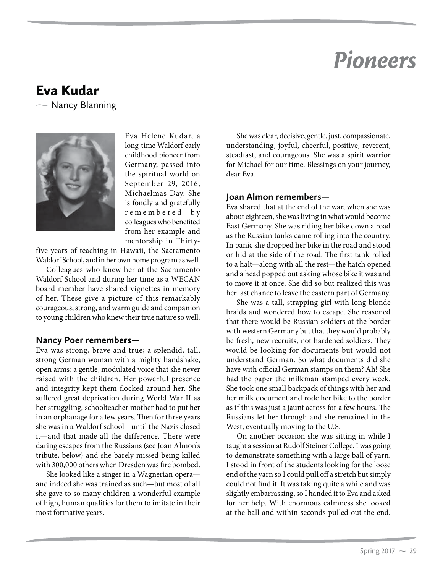# *Pioneers*

# Eva Kudar

 $\overline{\phantom{0}}$ Nancy Blanning



Eva Helene Kudar, a long-time Waldorf early childhood pioneer from Germany, passed into the spiritual world on September 29, 2016, Michaelmas Day. She is fondly and gratefully r e m e m b e r e d b v colleagues who benefited from her example and mentorship in Thirty-

five years of teaching in Hawaii, the Sacramento Waldorf School, and in her own home program as well.

Colleagues who knew her at the Sacramento Waldorf School and during her time as a WECAN board member have shared vignettes in memory of her. These give a picture of this remarkably courageous, strong, and warm guide and companion to young children who knew their true nature so well.

#### **Nancy Poer remembers—**

Eva was strong, brave and true; a splendid, tall, strong German woman with a mighty handshake, open arms; a gentle, modulated voice that she never raised with the children. Her powerful presence and integrity kept them flocked around her. She suffered great deprivation during World War II as her struggling, schoolteacher mother had to put her in an orphanage for a few years. Then for three years she was in a Waldorf school—until the Nazis closed it—and that made all the difference. There were daring escapes from the Russians (see Joan Almon's tribute, below) and she barely missed being killed with 300,000 others when Dresden was fire bombed.

She looked like a singer in a Wagnerian opera and indeed she was trained as such—but most of all she gave to so many children a wonderful example of high, human qualities for them to imitate in their most formative years.

She was clear, decisive, gentle, just, compassionate, understanding, joyful, cheerful, positive, reverent, steadfast, and courageous. She was a spirit warrior for Michael for our time. Blessings on your journey, dear Eva.

## **Joan Almon remembers—**

Eva shared that at the end of the war, when she was about eighteen, she was living in what would become East Germany. She was riding her bike down a road as the Russian tanks came rolling into the country. In panic she dropped her bike in the road and stood or hid at the side of the road. The first tank rolled to a halt—along with all the rest—the hatch opened and a head popped out asking whose bike it was and to move it at once. She did so but realized this was her last chance to leave the eastern part of Germany.

She was a tall, strapping girl with long blonde braids and wondered how to escape. She reasoned that there would be Russian soldiers at the border with western Germany but that they would probably be fresh, new recruits, not hardened soldiers. They would be looking for documents but would not understand German. So what documents did she have with official German stamps on them? Ah! She had the paper the milkman stamped every week. She took one small backpack of things with her and her milk document and rode her bike to the border as if this was just a jaunt across for a few hours. The Russians let her through and she remained in the West, eventually moving to the U.S.

On another occasion she was sitting in while I taught a session at Rudolf Steiner College. I was going to demonstrate something with a large ball of yarn. I stood in front of the students looking for the loose end of the yarn so I could pull off a stretch but simply could not find it. It was taking quite a while and was slightly embarrassing, so I handed it to Eva and asked for her help. With enormous calmness she looked at the ball and within seconds pulled out the end.